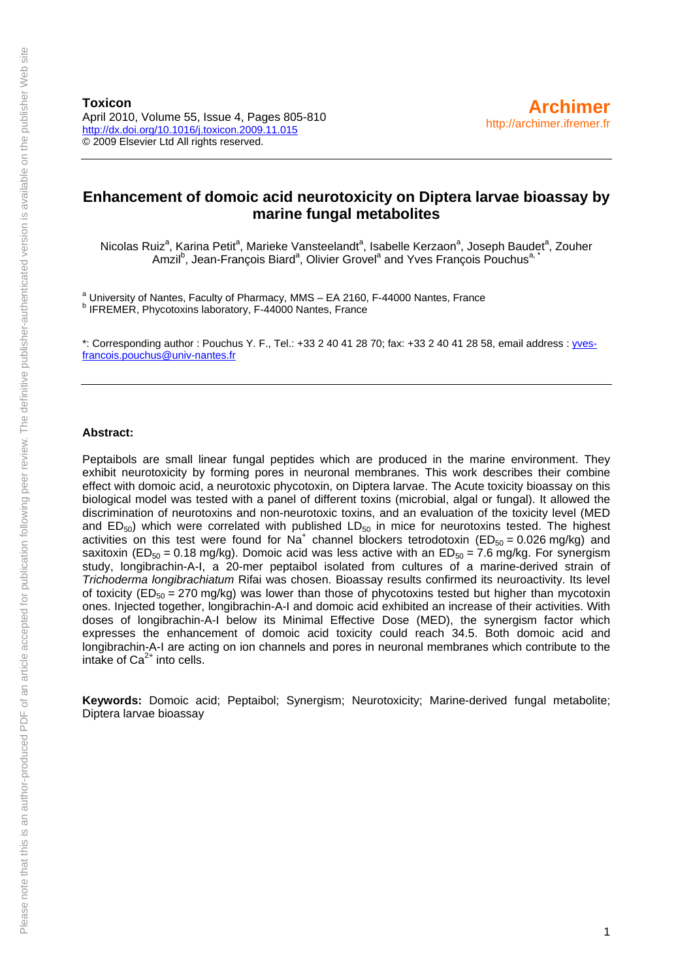**Toxicon**  April 2010, Volume 55, Issue 4, Pages 805-810 <http://dx.doi.org/10.1016/j.toxicon.2009.11.015> © 2009 Elsevier Ltd All rights reserved.

# **Enhancement of domoic acid neurotoxicity on Diptera larvae bioassay by marine fungal metabolites**

Nicolas Ruiz<sup>a</sup>, Karina Petit<sup>a</sup>, Marieke Vansteelandt<sup>a</sup>, Isabelle Kerzaon<sup>a</sup>, Joseph Baudet<sup>a</sup>, Zouher Amzil<sup>b</sup>, Jean-François Biard<sup>a</sup>, Olivier Grovel<sup>a</sup> and Yves François Pouchus<sup>a, \*</sup>

<sup>a</sup> University of Nantes, Faculty of Pharmacy, MMS – EA 2160, F-44000 Nantes, France<br>**b** IEREMER, Physotoxips Inheratory, E.44000 Nantes, France <sup>b</sup> IFREMER, Phycotoxins laboratory, F-44000 Nantes, France

\*: Corresponding author : Pouchus Y. F., Tel.: +33 2 40 41 28 70; fax: +33 2 40 41 28 58, email address : [yves](mailto:yves-francois.pouchus@univ-nantes.fr)[francois.pouchus@univ-nantes.fr](mailto:yves-francois.pouchus@univ-nantes.fr)

## **Abstract:**

Peptaibols are small linear fungal peptides which are produced in the marine environment. They exhibit neurotoxicity by forming pores in neuronal membranes. This work describes their combine effect with domoic acid, a neurotoxic phycotoxin, on Diptera larvae. The Acute toxicity bioassay on this biological model was tested with a panel of different toxins (microbial, algal or fungal). It allowed the discrimination of neurotoxins and non-neurotoxic toxins, and an evaluation of the toxicity level (MED and  $ED_{50}$ ) which were correlated with published  $LD_{50}$  in mice for neurotoxins tested. The highest activities on this test were found for Na<sup>+</sup> channel blockers tetrodotoxin (ED<sub>50</sub> = 0.026 mg/kg) and saxitoxin (ED<sub>50</sub> = 0.18 mg/kg). Domoic acid was less active with an ED<sub>50</sub> = 7.6 mg/kg. For synergism study, longibrachin-A-I, a 20-mer peptaibol isolated from cultures of a marine-derived strain of *Trichoderma longibrachiatum* Rifai was chosen. Bioassay results confirmed its neuroactivity. Its level of toxicity ( $ED_{50} = 270$  mg/kg) was lower than those of phycotoxins tested but higher than mycotoxin ones. Injected together, longibrachin-A-I and domoic acid exhibited an increase of their activities. With doses of longibrachin-A-I below its Minimal Effective Dose (MED), the synergism factor which expresses the enhancement of domoic acid toxicity could reach 34.5. Both domoic acid and longibrachin-A-I are acting on ion channels and pores in neuronal membranes which contribute to the intake of  $Ca<sup>2+</sup>$  into cells.

**Keywords:** Domoic acid; Peptaibol; Synergism; Neurotoxicity; Marine-derived fungal metabolite; Diptera larvae bioassay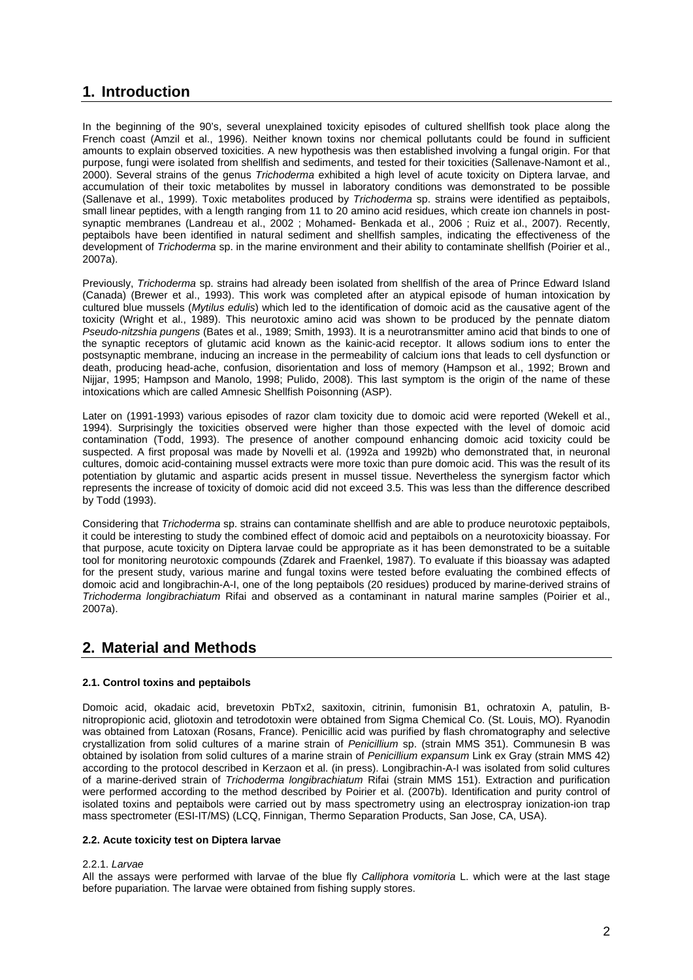# **1. Introduction**

In the beginning of the 90's, several unexplained toxicity episodes of cultured shellfish took place along the French coast (Amzil et al., 1996). Neither known toxins nor chemical pollutants could be found in sufficient amounts to explain observed toxicities. A new hypothesis was then established involving a fungal origin. For that purpose, fungi were isolated from shellfish and sediments, and tested for their toxicities (Sallenave-Namont et al., 2000). Several strains of the genus *Trichoderma* exhibited a high level of acute toxicity on Diptera larvae, and accumulation of their toxic metabolites by mussel in laboratory conditions was demonstrated to be possible (Sallenave et al., 1999). Toxic metabolites produced by *Trichoderma* sp. strains were identified as peptaibols, small linear peptides, with a length ranging from 11 to 20 amino acid residues, which create ion channels in postsynaptic membranes (Landreau et al., 2002 ; Mohamed- Benkada et al., 2006 ; Ruiz et al., 2007). Recently, peptaibols have been identified in natural sediment and shellfish samples, indicating the effectiveness of the development of *Trichoderma* sp. in the marine environment and their ability to contaminate shellfish (Poirier et al., 2007a).

Previously, *Trichoderma* sp. strains had already been isolated from shellfish of the area of Prince Edward Island (Canada) (Brewer et al., 1993). This work was completed after an atypical episode of human intoxication by cultured blue mussels (*Mytilus edulis*) which led to the identification of domoic acid as the causative agent of the toxicity (Wright et al., 1989). This neurotoxic amino acid was shown to be produced by the pennate diatom *Pseudo*-*nitzshia pungens* (Bates et al., 1989; Smith, 1993). It is a neurotransmitter amino acid that binds to one of the synaptic receptors of glutamic acid known as the kainic-acid receptor. It allows sodium ions to enter the postsynaptic membrane, inducing an increase in the permeability of calcium ions that leads to cell dysfunction or death, producing head-ache, confusion, disorientation and loss of memory (Hampson et al., 1992; Brown and Nijjar, 1995; Hampson and Manolo, 1998; Pulido, 2008). This last symptom is the origin of the name of these intoxications which are called Amnesic Shellfish Poisonning (ASP).

Later on (1991-1993) various episodes of razor clam toxicity due to domoic acid were reported (Wekell et al., 1994). Surprisingly the toxicities observed were higher than those expected with the level of domoic acid contamination (Todd, 1993). The presence of another compound enhancing domoic acid toxicity could be suspected. A first proposal was made by Novelli et al. (1992a and 1992b) who demonstrated that, in neuronal cultures, domoic acid-containing mussel extracts were more toxic than pure domoic acid. This was the result of its potentiation by glutamic and aspartic acids present in mussel tissue. Nevertheless the synergism factor which represents the increase of toxicity of domoic acid did not exceed 3.5. This was less than the difference described by Todd (1993).

Considering that *Trichoderma* sp. strains can contaminate shellfish and are able to produce neurotoxic peptaibols, it could be interesting to study the combined effect of domoic acid and peptaibols on a neurotoxicity bioassay. For that purpose, acute toxicity on Diptera larvae could be appropriate as it has been demonstrated to be a suitable tool for monitoring neurotoxic compounds (Zdarek and Fraenkel, 1987). To evaluate if this bioassay was adapted for the present study, various marine and fungal toxins were tested before evaluating the combined effects of domoic acid and longibrachin-A-I, one of the long peptaibols (20 residues) produced by marine-derived strains of *Trichoderma longibrachiatum* Rifai and observed as a contaminant in natural marine samples (Poirier et al., 2007a).

# **2. Material and Methods**

## **2.1. Control toxins and peptaibols**

Domoic acid, okadaic acid, brevetoxin PbTx2, saxitoxin, citrinin, fumonisin B1, ochratoxin A, patulin, Bnitropropionic acid, gliotoxin and tetrodotoxin were obtained from Sigma Chemical Co. (St. Louis, MO). Ryanodin was obtained from Latoxan (Rosans, France). Penicillic acid was purified by flash chromatography and selective crystallization from solid cultures of a marine strain of *Penicillium* sp. (strain MMS 351). Communesin B was obtained by isolation from solid cultures of a marine strain of *Penicillium expansum* Link ex Gray (strain MMS 42) according to the protocol described in Kerzaon et al. (in press). Longibrachin-A-I was isolated from solid cultures of a marine-derived strain of *Trichoderma longibrachiatum* Rifai (strain MMS 151). Extraction and purification were performed according to the method described by Poirier et al. (2007b). Identification and purity control of isolated toxins and peptaibols were carried out by mass spectrometry using an electrospray ionization-ion trap mass spectrometer (ESI-IT/MS) (LCQ, Finnigan, Thermo Separation Products, San Jose, CA, USA).

## **2.2. Acute toxicity test on Diptera larvae**

## 2.2.1. *Larvae*

All the assays were performed with larvae of the blue fly *Calliphora vomitoria* L. which were at the last stage before pupariation. The larvae were obtained from fishing supply stores.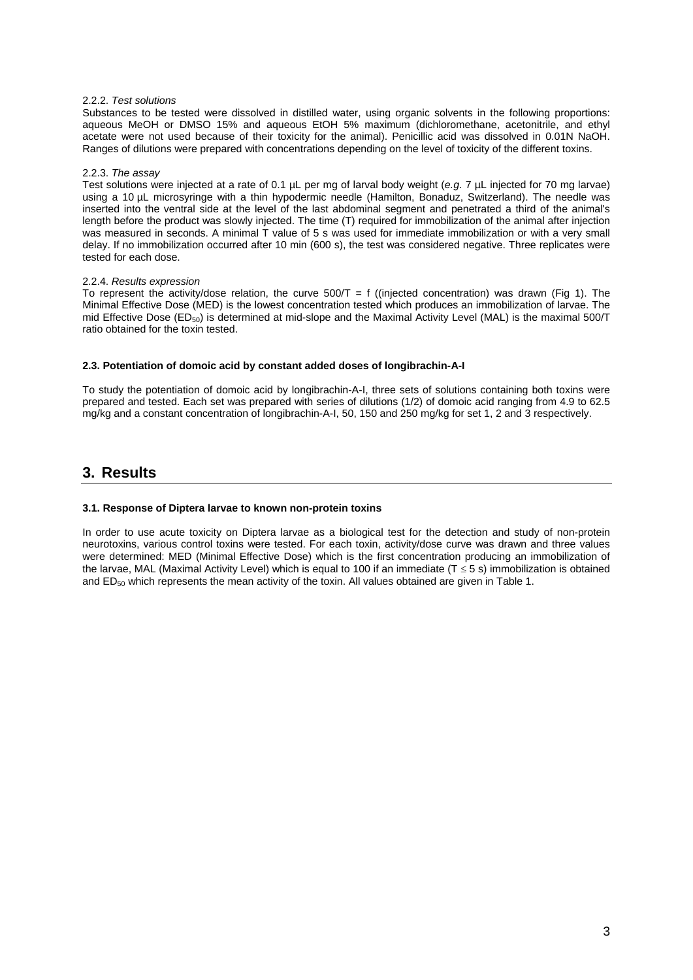## 2.2.2. *Test solutions*

Substances to be tested were dissolved in distilled water, using organic solvents in the following proportions: aqueous MeOH or DMSO 15% and aqueous EtOH 5% maximum (dichloromethane, acetonitrile, and ethyl acetate were not used because of their toxicity for the animal). Penicillic acid was dissolved in 0.01N NaOH. Ranges of dilutions were prepared with concentrations depending on the level of toxicity of the different toxins.

## 2.2.3. *The assay*

Test solutions were injected at a rate of 0.1 µL per mg of larval body weight (*e.g*. 7 µL injected for 70 mg larvae) using a 10 µL microsyringe with a thin hypodermic needle (Hamilton, Bonaduz, Switzerland). The needle was inserted into the ventral side at the level of the last abdominal segment and penetrated a third of the animal's length before the product was slowly injected. The time (T) required for immobilization of the animal after injection was measured in seconds. A minimal T value of 5 s was used for immediate immobilization or with a very small delay. If no immobilization occurred after 10 min (600 s), the test was considered negative. Three replicates were tested for each dose.

## 2.2.4. *Results expression*

To represent the activity/dose relation, the curve  $500/T = f$  ((injected concentration) was drawn (Fig 1). The Minimal Effective Dose (MED) is the lowest concentration tested which produces an immobilization of larvae. The mid Effective Dose (ED50) is determined at mid-slope and the Maximal Activity Level (MAL) is the maximal 500/T ratio obtained for the toxin tested.

## **2.3. Potentiation of domoic acid by constant added doses of longibrachin-A-I**

To study the potentiation of domoic acid by longibrachin-A-I, three sets of solutions containing both toxins were prepared and tested. Each set was prepared with series of dilutions (1/2) of domoic acid ranging from 4.9 to 62.5 mg/kg and a constant concentration of longibrachin-A-I, 50, 150 and 250 mg/kg for set 1, 2 and 3 respectively.

# **3. Results**

## **3.1. Response of Diptera larvae to known non-protein toxins**

In order to use acute toxicity on Diptera larvae as a biological test for the detection and study of non-protein neurotoxins, various control toxins were tested. For each toxin, activity/dose curve was drawn and three values were determined: MED (Minimal Effective Dose) which is the first concentration producing an immobilization of the larvae, MAL (Maximal Activity Level) which is equal to 100 if an immediate (T 5 s) immobilization is obtained and ED50 which represents the mean activity of the toxin. All values obtained are given in Table 1.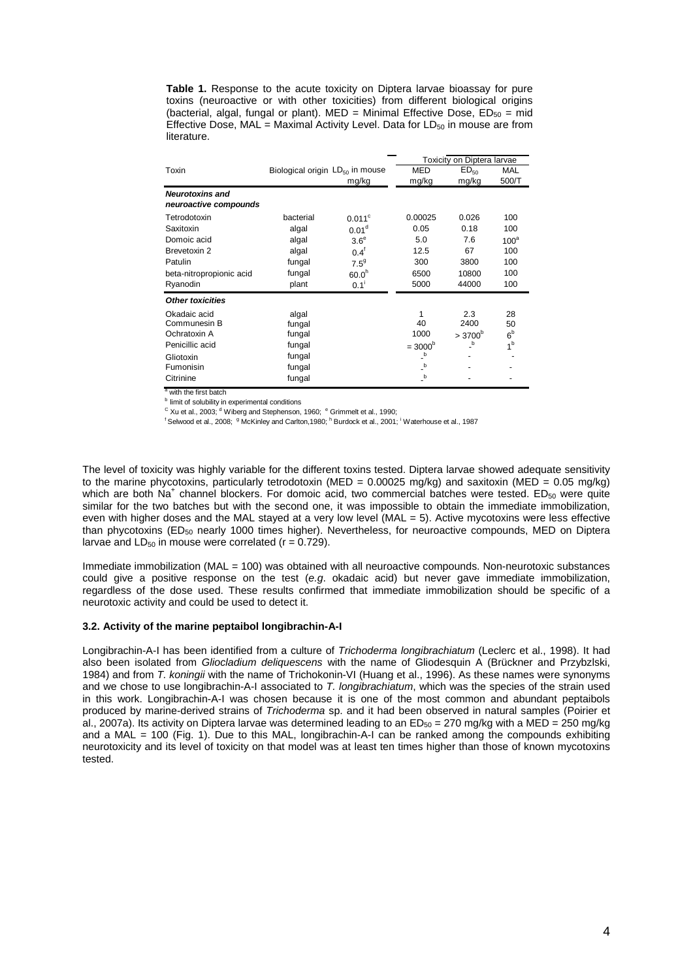**Table 1.** Response to the acute toxicity on Diptera larvae bioassay for pure toxins (neuroactive or with other toxicities) from different biological origins (bacterial, algal, fungal or plant). MED = Minimal Effective Dose,  $ED_{50} = \text{mid}$ Effective Dose,  $MAL =$  Maximal Activity Level. Data for LD $_{50}$  in mouse are from literature.

|                          |                                      |                   | <b>Toxicity on Diptera larvae</b>      |                                  |                  |
|--------------------------|--------------------------------------|-------------------|----------------------------------------|----------------------------------|------------------|
| Toxin                    | Biological origin $LD_{50}$ in mouse |                   | <b>MED</b>                             | ED <sub>50</sub>                 | <b>MAL</b>       |
|                          |                                      | mg/kg             | mg/kg                                  | mg/kg                            | 500/T            |
| <b>Neurotoxins and</b>   |                                      |                   |                                        |                                  |                  |
| neuroactive compounds    |                                      |                   |                                        |                                  |                  |
| Tetrodotoxin             | bacterial                            | $0.011^{\circ}$   | 0.00025                                | 0.026                            | 100              |
| Saxitoxin                | algal                                | 0.01 <sup>d</sup> | 0.05                                   | 0.18                             | 100              |
| Domoic acid              | algal                                | 3.6 <sup>e</sup>  | 5.0                                    | 7.6                              | 100 <sup>a</sup> |
| Brevetoxin 2             | algal                                | $0.4^{\dagger}$   | 12.5                                   | 67                               | 100              |
| Patulin                  | fungal                               | $7.5^9$           | 300                                    | 3800                             | 100              |
| beta-nitropropionic acid | fungal                               | 60.0 <sup>h</sup> | 6500                                   | 10800                            | 100              |
| Ryanodin                 | plant                                | $0.1^{\dagger}$   | 5000                                   | 44000                            | 100              |
| <b>Other toxicities</b>  |                                      |                   |                                        |                                  |                  |
| Okadaic acid             | algal                                |                   | 1                                      | 2.3                              | 28               |
| Communesin B             | fungal                               |                   | 40                                     | 2400                             | 50               |
| Ochratoxin A             | fungal                               |                   | 1000                                   | $>3700^b$                        | 6 <sup>b</sup>   |
| Penicillic acid          | fungal                               |                   | $=3000^b$                              | $\overline{\phantom{a}}^{\rm b}$ | 1 <sup>b</sup>   |
| Gliotoxin                | fungal                               |                   | $\overline{\phantom{a}}^{\phantom{a}}$ |                                  |                  |
| Fumonisin                | fungal                               |                   | $\overline{\phantom{a}}^{\phantom{a}}$ |                                  |                  |
| Citrinine                | fungal                               |                   | $\overline{\phantom{a}}^{\phantom{a}}$ |                                  |                  |
| a with the first botch   |                                      |                   |                                        |                                  |                  |

with the first batch

**b** limit of solubility in experimental conditions

<sup>C</sup> Xu et al., 2003; <sup>d</sup> Wiberg and Stephenson, 1960; <sup>e</sup> Grimmelt et al., 1990;<br><sup>f</sup> Selwood et al., 2008; *§ McKinley and Carlton 1980; <sup>h</sup> Burdock et al., 2001;* 

Selwood et al., 2008; <sup>g</sup> McKinley and Carlton,1980; <sup>h</sup> Burdock et al., 2001; <sup>i</sup> Waterhouse et al., 1987

The level of toxicity was highly variable for the different toxins tested. Diptera larvae showed adequate sensitivity to the marine phycotoxins, particularly tetrodotoxin (MED =  $0.00025$  mg/kg) and saxitoxin (MED =  $0.05$  mg/kg) which are both Na<sup>+</sup> channel blockers. For domoic acid, two commercial batches were tested. ED<sub>50</sub> were quite similar for the two batches but with the second one, it was impossible to obtain the immediate immobilization, even with higher doses and the MAL stayed at a very low level (MAL = 5). Active mycotoxins were less effective than phycotoxins ( $ED_{50}$  nearly 1000 times higher). Nevertheless, for neuroactive compounds, MED on Diptera larvae and  $LD_{50}$  in mouse were correlated ( $r = 0.729$ ).

Immediate immobilization (MAL = 100) was obtained with all neuroactive compounds. Non-neurotoxic substances could give a positive response on the test (*e.g*. okadaic acid) but never gave immediate immobilization, regardless of the dose used. These results confirmed that immediate immobilization should be specific of a neurotoxic activity and could be used to detect it.

## **3.2. Activity of the marine peptaibol longibrachin-A-I**

Longibrachin-A-I has been identified from a culture of *Trichoderma longibrachiatum* (Leclerc et al., 1998). It had also been isolated from *Gliocladium deliquescens* with the name of Gliodesquin A (Brückner and Przybzlski, 1984) and from *T. koningii* with the name of Trichokonin-VI (Huang et al., 1996). As these names were synonyms and we chose to use longibrachin-A-I associated to *T. longibrachiatum*, which was the species of the strain used in this work. Longibrachin-A-I was chosen because it is one of the most common and abundant peptaibols produced by marine-derived strains of *Trichoderma* sp. and it had been observed in natural samples (Poirier et al., 2007a). Its activity on Diptera larvae was determined leading to an  $ED_{50} = 270$  mg/kg with a MED = 250 mg/kg and a MAL = 100 (Fig. 1). Due to this MAL, longibrachin-A-I can be ranked among the compounds exhibiting neurotoxicity and its level of toxicity on that model was at least ten times higher than those of known mycotoxins tested.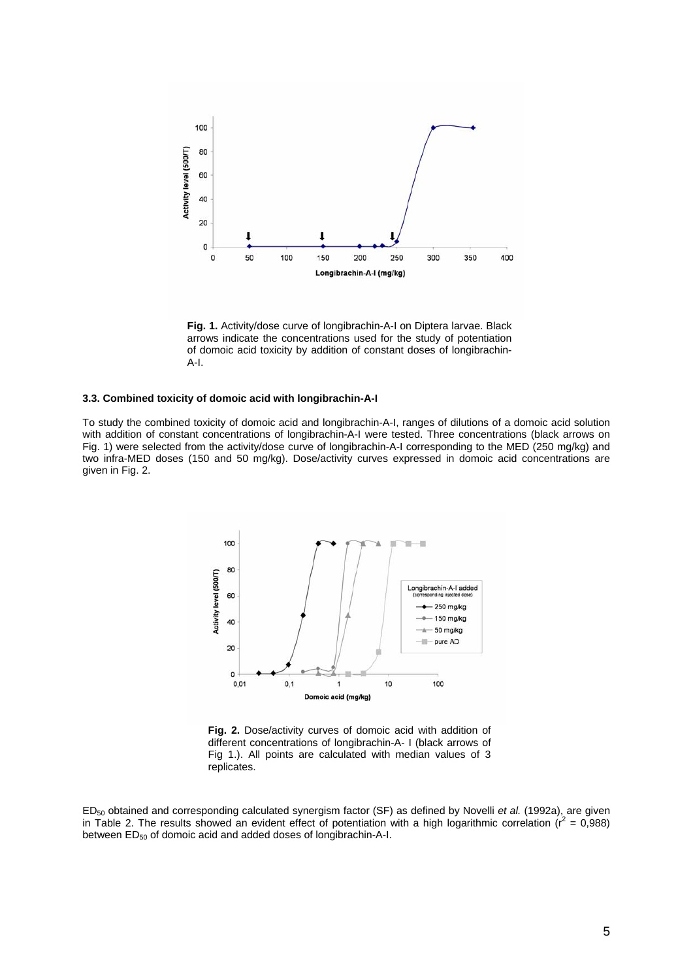

**Fig. 1.** Activity/dose curve of longibrachin-A-I on Diptera larvae. Black arrows indicate the concentrations used for the study of potentiation of domoic acid toxicity by addition of constant doses of longibrachin-A-I.

#### **3.3. Combined toxicity of domoic acid with longibrachin-A-I**

To study the combined toxicity of domoic acid and longibrachin-A-I, ranges of dilutions of a domoic acid solution with addition of constant concentrations of longibrachin-A-I were tested. Three concentrations (black arrows on Fig. 1) were selected from the activity/dose curve of longibrachin-A-I corresponding to the MED (250 mg/kg) and two infra-MED doses (150 and 50 mg/kg). Dose/activity curves expressed in domoic acid concentrations are given in Fig. 2.



**Fig. 2.** Dose/activity curves of domoic acid with addition of different concentrations of longibrachin-A- I (black arrows of Fig 1.). All points are calculated with median values of 3 replicates.

ED50 obtained and corresponding calculated synergism factor (SF) as defined by Novelli *et al.* (1992a), are given in Table 2. The results showed an evident effect of potentiation with a high logarithmic correlation  $(r^2 = 0.988)$ between ED<sub>50</sub> of domoic acid and added doses of longibrachin-A-I.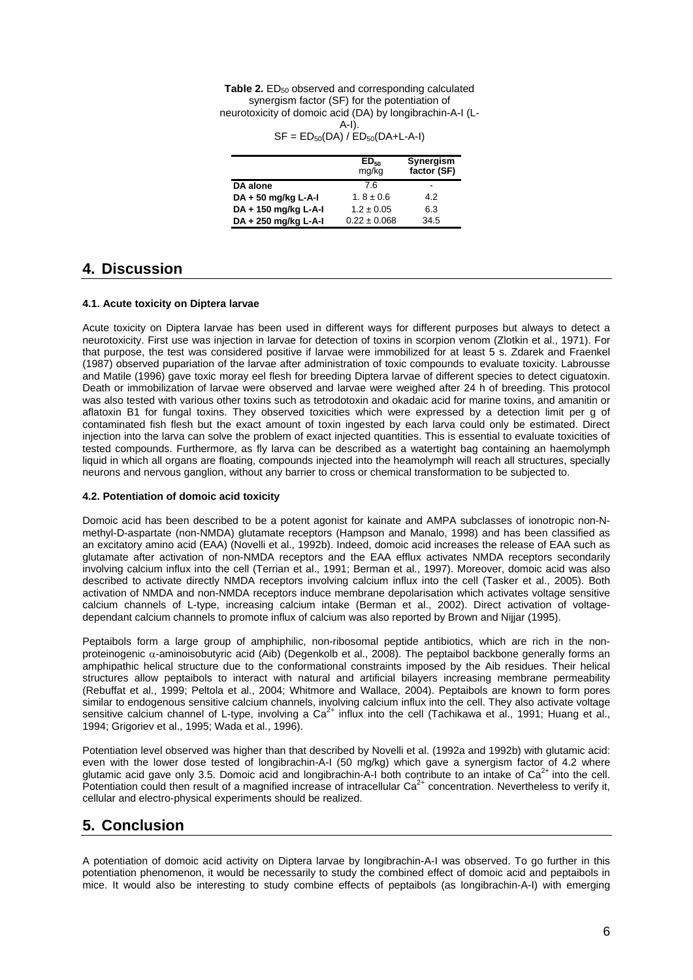| <b>Table 2.</b> ED <sub>50</sub> observed and corresponding calculated |  |  |  |  |
|------------------------------------------------------------------------|--|--|--|--|
| synergism factor (SF) for the potentiation of                          |  |  |  |  |
| neurotoxicity of domoic acid (DA) by longibrachin-A-I (L-              |  |  |  |  |
| A-I).                                                                  |  |  |  |  |
| $C F$ $T D$ $(DA)$ $(T D$ $(DA)$ $(A B)$                               |  |  |  |  |

#### $SE = EDE<sub>0</sub>(DA)/ED<sub>50</sub>(DA+L-AA)$

|                       | ED <sub>50</sub><br>mg/kg | Synergism<br>factor (SF) |
|-----------------------|---------------------------|--------------------------|
| DA alone              | 7.6                       |                          |
| $DA + 50$ mg/kg L-A-I | $1.8 \pm 0.6$             | 4.2                      |
| DA + 150 mg/kg L-A-I  | $1.2 \pm 0.05$            | 6.3                      |
| DA + 250 mg/kg L-A-I  | $0.22 \pm 0.068$          | 34.5                     |

## **4. Discussion**

## **4.1. Acute toxicity on Diptera larvae**

Acute toxicity on Diptera larvae has been used in different ways for different purposes but always to detect a neurotoxicity. First use was injection in larvae for detection of toxins in scorpion venom (Zlotkin et al., 1971). For that purpose, the test was considered positive if larvae were immobilized for at least 5 s. Zdarek and Fraenkel (1987) observed pupariation of the larvae after administration of toxic compounds to evaluate toxicity. Labrousse and Matile (1996) gave toxic moray eel flesh for breeding Diptera larvae of different species to detect ciguatoxin. Death or immobilization of larvae were observed and larvae were weighed after 24 h of breeding. This protocol was also tested with various other toxins such as tetrodotoxin and okadaic acid for marine toxins, and amanitin or aflatoxin B1 for fungal toxins. They observed toxicities which were expressed by a detection limit per g of contaminated fish flesh but the exact amount of toxin ingested by each larva could only be estimated. Direct injection into the larva can solve the problem of exact injected quantities. This is essential to evaluate toxicities of tested compounds. Furthermore, as fly larva can be described as a watertight bag containing an haemolymph liquid in which all organs are floating, compounds injected into the heamolymph will reach all structures, specially neurons and nervous ganglion, without any barrier to cross or chemical transformation to be subjected to.

## **4.2. Potentiation of domoic acid toxicity**

Domoic acid has been described to be a potent agonist for kainate and AMPA subclasses of ionotropic non-Nmethyl-D-aspartate (non-NMDA) glutamate receptors (Hampson and Manalo, 1998) and has been classified as an excitatory amino acid (EAA) (Novelli et al., 1992b). Indeed, domoic acid increases the release of EAA such as glutamate after activation of non-NMDA receptors and the EAA efflux activates NMDA receptors secondarily involving calcium influx into the cell (Terrian et al., 1991; Berman et al., 1997). Moreover, domoic acid was also described to activate directly NMDA receptors involving calcium influx into the cell (Tasker et al., 2005). Both activation of NMDA and non-NMDA receptors induce membrane depolarisation which activates voltage sensitive calcium channels of L-type, increasing calcium intake (Berman et al., 2002). Direct activation of voltagedependant calcium channels to promote influx of calcium was also reported by Brown and Nijjar (1995).

Peptaibols form a large group of amphiphilic, non-ribosomal peptide antibiotics, which are rich in the nonproteinogenic  $\alpha$ -aminoisobutyric acid (Aib) (Degenkolb et al., 2008). The peptaibol backbone generally forms an amphipathic helical structure due to the conformational constraints imposed by the Aib residues. Their helical structures allow peptaibols to interact with natural and artificial bilayers increasing membrane permeability (Rebuffat et al., 1999; Peltola et al., 2004; Whitmore and Wallace, 2004). Peptaibols are known to form pores similar to endogenous sensitive calcium channels, involving calcium influx into the cell. They also activate voltage sensitive calcium channel of L-type, involving a  $Ca^{2+}$  influx into the cell (Tachikawa et al., 1991; Huang et al., 1994; Grigoriev et al., 1995; Wada et al., 1996).

Potentiation level observed was higher than that described by Novelli et al. (1992a and 1992b) with glutamic acid: even with the lower dose tested of longibrachin-A-I (50 mg/kg) which gave a synergism factor of 4.2 where glutamic acid gave only 3.5. Domoic acid and longibrachin-A-I both contribute to an intake of  $Ca^{2+}$  into the cell. Potentiation could then result of a magnified increase of intracellular  $Ca<sup>2+</sup>$  concentration. Nevertheless to verify it, cellular and electro-physical experiments should be realized.

# **5. Conclusion**

A potentiation of domoic acid activity on Diptera larvae by longibrachin-A-I was observed. To go further in this potentiation phenomenon, it would be necessarily to study the combined effect of domoic acid and peptaibols in mice. It would also be interesting to study combine effects of peptaibols (as longibrachin-A-I) with emerging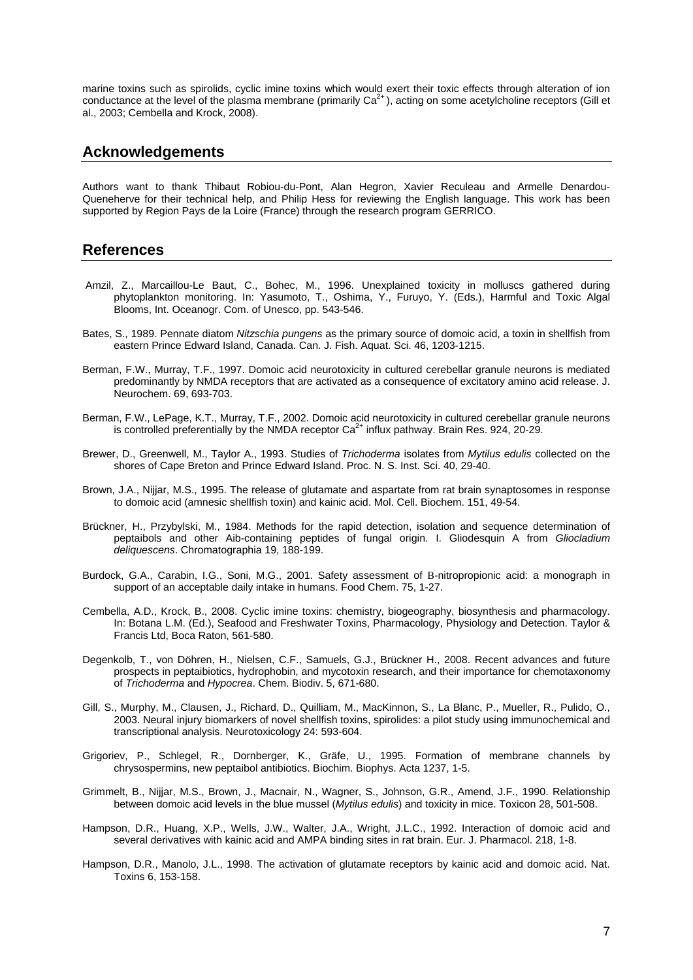marine toxins such as spirolids, cyclic imine toxins which would exert their toxic effects through alteration of ion conductance at the level of the plasma membrane (primarily  $Ca<sup>2+</sup>$ ), acting on some acetylcholine receptors (Gill et al., 2003; Cembella and Krock, 2008).

## **Acknowledgements**

Authors want to thank Thibaut Robiou-du-Pont, Alan Hegron, Xavier Reculeau and Armelle Denardou-Queneherve for their technical help, and Philip Hess for reviewing the English language. This work has been supported by Region Pays de la Loire (France) through the research program GERRICO.

## **References**

- Amzil, Z., Marcaillou-Le Baut, C., Bohec, M., 1996. Unexplained toxicity in molluscs gathered during phytoplankton monitoring. In: Yasumoto, T., Oshima, Y., Furuyo, Y. (Eds.), Harmful and Toxic Algal Blooms, Int. Oceanogr. Com. of Unesco, pp. 543-546.
- Bates, S., 1989. Pennate diatom *Nitzschia pungens* as the primary source of domoic acid, a toxin in shellfish from eastern Prince Edward Island, Canada. Can. J. Fish. Aquat. Sci. 46, 1203-1215.
- Berman, F.W., Murray, T.F., 1997. Domoic acid neurotoxicity in cultured cerebellar granule neurons is mediated predominantly by NMDA receptors that are activated as a consequence of excitatory amino acid release. J. Neurochem. 69, 693-703.
- Berman, F.W., LePage, K.T., Murray, T.F., 2002. Domoic acid neurotoxicity in cultured cerebellar granule neurons is controlled preferentially by the NMDA receptor  $Ca^{2+}$  influx pathway. Brain Res. 924, 20-29.
- Brewer, D., Greenwell, M., Taylor A., 1993. Studies of *Trichoderma* isolates from *Mytilus edulis* collected on the shores of Cape Breton and Prince Edward Island. Proc. N. S. Inst. Sci. 40, 29-40.
- Brown, J.A., Nijjar, M.S., 1995. The release of glutamate and aspartate from rat brain synaptosomes in response to domoic acid (amnesic shellfish toxin) and kainic acid. Mol. Cell. Biochem. 151, 49-54.
- Brückner, H., Przybylski, M., 1984. Methods for the rapid detection, isolation and sequence determination of peptaibols and other Aib-containing peptides of fungal origin. I. Gliodesquin A from *Gliocladium deliquescens*. Chromatographia 19, 188-199.
- Burdock, G.A., Carabin, I.G., Soni, M.G., 2001. Safety assessment of B-nitropropionic acid: a monograph in support of an acceptable daily intake in humans. Food Chem. 75, 1-27.
- Cembella, A.D., Krock, B., 2008. Cyclic imine toxins: chemistry, biogeography, biosynthesis and pharmacology. In: Botana L.M. (Ed.), Seafood and Freshwater Toxins, Pharmacology, Physiology and Detection. Taylor & Francis Ltd, Boca Raton, 561-580.
- Degenkolb, T., von Döhren, H., Nielsen, C.F., Samuels, G.J., Brückner H., 2008. Recent advances and future prospects in peptaibiotics, hydrophobin, and mycotoxin research, and their importance for chemotaxonomy of *Trichoderma* and *Hypocrea*. Chem. Biodiv. 5, 671-680.
- Gill, S., Murphy, M., Clausen, J., Richard, D., Quilliam, M., MacKinnon, S., La Blanc, P., Mueller, R., Pulido, O., 2003. Neural injury biomarkers of novel shellfish toxins, spirolides: a pilot study using immunochemical and transcriptional analysis. Neurotoxicology 24: 593-604.
- Grigoriev, P., Schlegel, R., Dornberger, K., Gräfe, U., 1995. Formation of membrane channels by chrysospermins, new peptaibol antibiotics. Biochim. Biophys. Acta 1237, 1-5.
- Grimmelt, B., Nijjar, M.S., Brown, J., Macnair, N., Wagner, S., Johnson, G.R., Amend, J.F., 1990. Relationship between domoic acid levels in the blue mussel (*Mytilus edulis*) and toxicity in mice. Toxicon 28, 501-508.
- Hampson, D.R., Huang, X.P., Wells, J.W., Walter, J.A., Wright, J.L.C., 1992. Interaction of domoic acid and several derivatives with kainic acid and AMPA binding sites in rat brain. Eur. J. Pharmacol. 218, 1-8.
- Hampson, D.R., Manolo, J.L., 1998. The activation of glutamate receptors by kainic acid and domoic acid. Nat. Toxins 6, 153-158.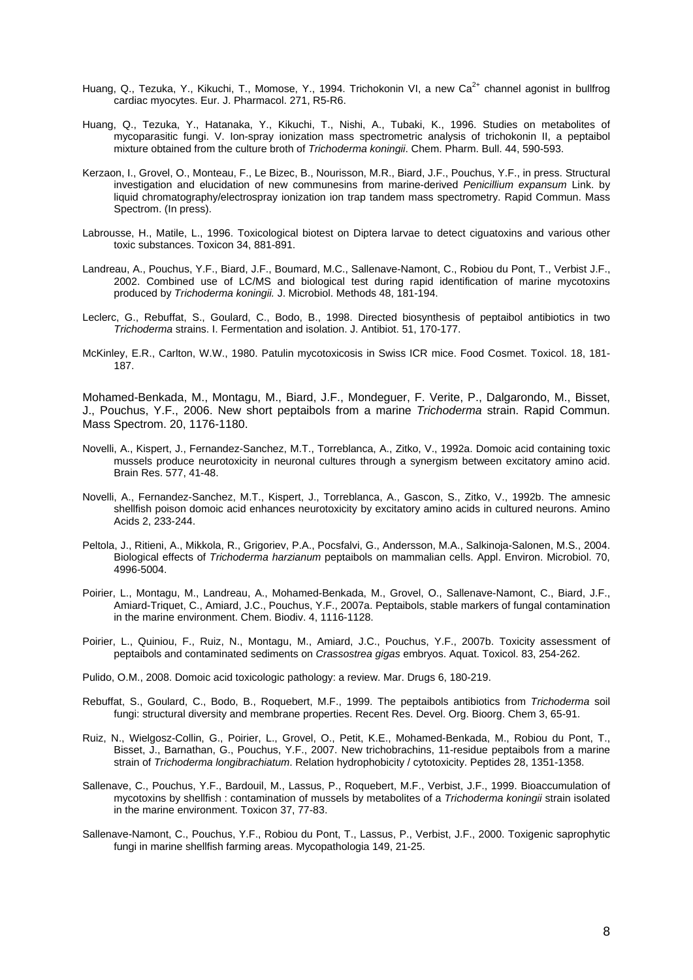- Huang, Q., Tezuka, Y., Kikuchi, T., Momose, Y., 1994. Trichokonin VI, a new Ca<sup>2+</sup> channel agonist in bullfrog cardiac myocytes. Eur. J. Pharmacol. 271, R5-R6.
- Huang, Q., Tezuka, Y., Hatanaka, Y., Kikuchi, T., Nishi, A., Tubaki, K., 1996. Studies on metabolites of mycoparasitic fungi. V. Ion-spray ionization mass spectrometric analysis of trichokonin II, a peptaibol mixture obtained from the culture broth of *Trichoderma koningii*. Chem. Pharm. Bull. 44, 590-593.
- Kerzaon, I., Grovel, O., Monteau, F., Le Bizec, B., Nourisson, M.R., Biard, J.F., Pouchus, Y.F., in press. Structural investigation and elucidation of new communesins from marine-derived *Penicillium expansum* Link. by liquid chromatography/electrospray ionization ion trap tandem mass spectrometry. Rapid Commun. Mass Spectrom. (In press).
- Labrousse, H., Matile, L., 1996. Toxicological biotest on Diptera larvae to detect ciguatoxins and various other toxic substances. Toxicon 34, 881-891.
- Landreau, A., Pouchus, Y.F., Biard, J.F., Boumard, M.C., Sallenave-Namont, C., Robiou du Pont, T., Verbist J.F., 2002. Combined use of LC/MS and biological test during rapid identification of marine mycotoxins produced by *Trichoderma koningii.* J. Microbiol. Methods 48, 181-194.
- Leclerc, G., Rebuffat, S., Goulard, C., Bodo, B., 1998. Directed biosynthesis of peptaibol antibiotics in two *Trichoderma* strains. I. Fermentation and isolation. J. Antibiot. 51, 170-177.
- McKinley, E.R., Carlton, W.W., 1980. Patulin mycotoxicosis in Swiss ICR mice. Food Cosmet. Toxicol. 18, 181- 187.

Mohamed-Benkada, M., Montagu, M., Biard, J.F., Mondeguer, F. Verite, P., Dalgarondo, M., Bisset, J., Pouchus, Y.F., 2006. New short peptaibols from a marine *Trichoderma* strain. Rapid Commun. Mass Spectrom. 20, 1176-1180.

- Novelli, A., Kispert, J., Fernandez-Sanchez, M.T., Torreblanca, A., Zitko, V., 1992a. Domoic acid containing toxic mussels produce neurotoxicity in neuronal cultures through a synergism between excitatory amino acid. Brain Res. 577, 41-48.
- Novelli, A., Fernandez-Sanchez, M.T., Kispert, J., Torreblanca, A., Gascon, S., Zitko, V., 1992b. The amnesic shellfish poison domoic acid enhances neurotoxicity by excitatory amino acids in cultured neurons. Amino Acids 2, 233-244.
- Peltola, J., Ritieni, A., Mikkola, R., Grigoriev, P.A., Pocsfalvi, G., Andersson, M.A., Salkinoja-Salonen, M.S., 2004. Biological effects of *Trichoderma harzianum* peptaibols on mammalian cells. Appl. Environ. Microbiol. 70, 4996-5004.
- Poirier, L., Montagu, M., Landreau, A., Mohamed-Benkada, M., Grovel, O., Sallenave-Namont, C., Biard, J.F., Amiard-Triquet, C., Amiard, J.C., Pouchus, Y.F., 2007a. Peptaibols, stable markers of fungal contamination in the marine environment. Chem. Biodiv. 4, 1116-1128.
- Poirier, L., Quiniou, F., Ruiz, N., Montagu, M., Amiard, J.C., Pouchus, Y.F., 2007b. Toxicity assessment of peptaibols and contaminated sediments on *Crassostrea gigas* embryos. Aquat. Toxicol. 83, 254-262.
- Pulido, O.M., 2008. Domoic acid toxicologic pathology: a review. Mar. Drugs 6, 180-219.
- Rebuffat, S., Goulard, C., Bodo, B., Roquebert, M.F., 1999. The peptaibols antibiotics from *Trichoderma* soil fungi: structural diversity and membrane properties. Recent Res. Devel. Org. Bioorg. Chem 3, 65-91.
- Ruiz, N., Wielgosz-Collin, G., Poirier, L., Grovel, O., Petit, K.E., Mohamed-Benkada, M., Robiou du Pont, T., Bisset, J., Barnathan, G., Pouchus, Y.F., 2007. New trichobrachins, 11-residue peptaibols from a marine strain of *Trichoderma longibrachiatum*. Relation hydrophobicity / cytotoxicity. Peptides 28, 1351-1358.
- Sallenave, C., Pouchus, Y.F., Bardouil, M., Lassus, P., Roquebert, M.F., Verbist, J.F., 1999. Bioaccumulation of mycotoxins by shellfish : contamination of mussels by metabolites of a *Trichoderma koningii* strain isolated in the marine environment. Toxicon 37, 77-83.
- Sallenave-Namont, C., Pouchus, Y.F., Robiou du Pont, T., Lassus, P., Verbist, J.F., 2000. Toxigenic saprophytic fungi in marine shellfish farming areas. Mycopathologia 149, 21-25.